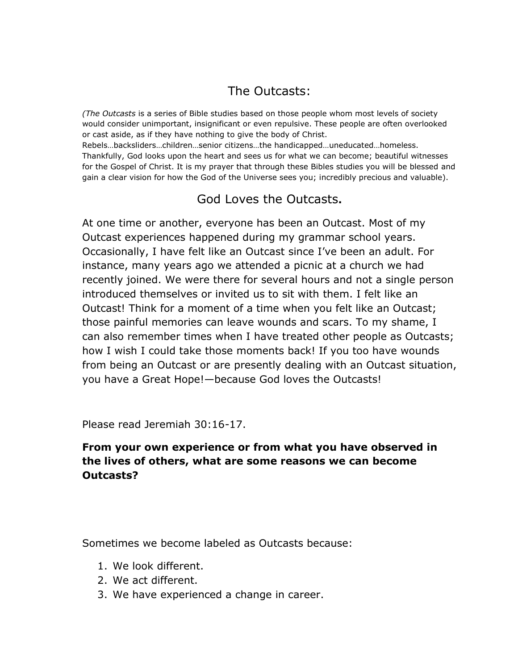# The Outcasts:

*(The Outcasts* is a series of Bible studies based on those people whom most levels of society would consider unimportant, insignificant or even repulsive. These people are often overlooked or cast aside, as if they have nothing to give the body of Christ.

Rebels…backsliders…children…senior citizens…the handicapped…uneducated…homeless. Thankfully, God looks upon the heart and sees us for what we can become; beautiful witnesses for the Gospel of Christ. It is my prayer that through these Bibles studies you will be blessed and gain a clear vision for how the God of the Universe sees you; incredibly precious and valuable).

## God Loves the Outcasts**.**

At one time or another, everyone has been an Outcast. Most of my Outcast experiences happened during my grammar school years. Occasionally, I have felt like an Outcast since I"ve been an adult. For instance, many years ago we attended a picnic at a church we had recently joined. We were there for several hours and not a single person introduced themselves or invited us to sit with them. I felt like an Outcast! Think for a moment of a time when you felt like an Outcast; those painful memories can leave wounds and scars. To my shame, I can also remember times when I have treated other people as Outcasts; how I wish I could take those moments back! If you too have wounds from being an Outcast or are presently dealing with an Outcast situation, you have a Great Hope!—because God loves the Outcasts!

Please read Jeremiah 30:16-17.

#### **From your own experience or from what you have observed in the lives of others, what are some reasons we can become Outcasts?**

Sometimes we become labeled as Outcasts because:

- 1. We look different.
- 2. We act different.
- 3. We have experienced a change in career.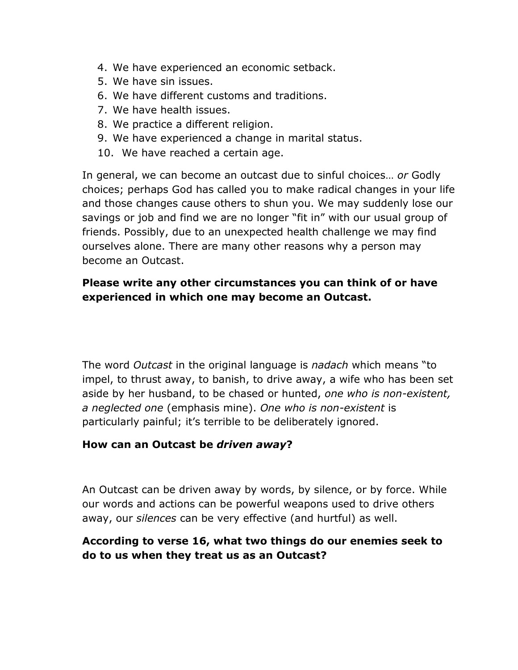- 4. We have experienced an economic setback.
- 5. We have sin issues.
- 6. We have different customs and traditions.
- 7. We have health issues.
- 8. We practice a different religion.
- 9. We have experienced a change in marital status.
- 10. We have reached a certain age.

In general, we can become an outcast due to sinful choices… *or* Godly choices; perhaps God has called you to make radical changes in your life and those changes cause others to shun you. We may suddenly lose our savings or job and find we are no longer "fit in" with our usual group of friends. Possibly, due to an unexpected health challenge we may find ourselves alone. There are many other reasons why a person may become an Outcast.

### **Please write any other circumstances you can think of or have experienced in which one may become an Outcast.**

The word *Outcast* in the original language is *nadach* which means "to impel, to thrust away, to banish, to drive away, a wife who has been set aside by her husband, to be chased or hunted, *one who is non-existent, a neglected one* (emphasis mine). *One who is non-existent* is particularly painful; it's terrible to be deliberately ignored.

#### **How can an Outcast be** *driven away***?**

An Outcast can be driven away by words, by silence, or by force. While our words and actions can be powerful weapons used to drive others away, our *silences* can be very effective (and hurtful) as well.

## **According to verse 16, what two things do our enemies seek to do to us when they treat us as an Outcast?**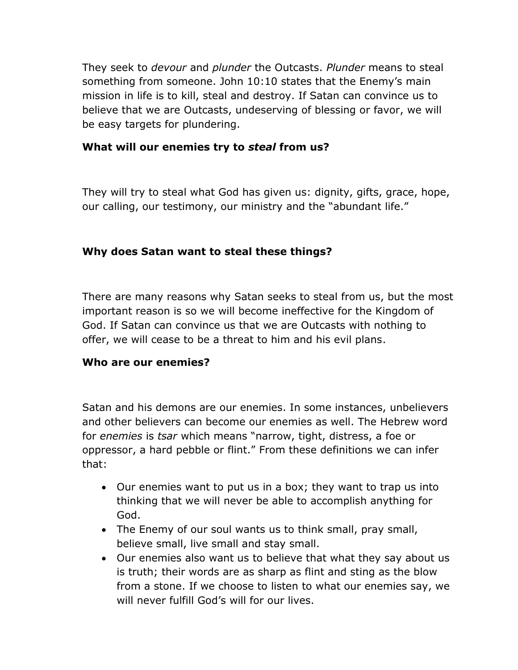They seek to *devour* and *plunder* the Outcasts. *Plunder* means to steal something from someone. John 10:10 states that the Enemy's main mission in life is to kill, steal and destroy. If Satan can convince us to believe that we are Outcasts, undeserving of blessing or favor, we will be easy targets for plundering.

#### **What will our enemies try to** *steal* **from us?**

They will try to steal what God has given us: dignity, gifts, grace, hope, our calling, our testimony, our ministry and the "abundant life."

#### **Why does Satan want to steal these things?**

There are many reasons why Satan seeks to steal from us, but the most important reason is so we will become ineffective for the Kingdom of God. If Satan can convince us that we are Outcasts with nothing to offer, we will cease to be a threat to him and his evil plans.

#### **Who are our enemies?**

Satan and his demons are our enemies. In some instances, unbelievers and other believers can become our enemies as well. The Hebrew word for *enemies* is *tsar* which means "narrow, tight, distress, a foe or oppressor, a hard pebble or flint." From these definitions we can infer that:

- Our enemies want to put us in a box; they want to trap us into thinking that we will never be able to accomplish anything for God.
- The Enemy of our soul wants us to think small, pray small, believe small, live small and stay small.
- Our enemies also want us to believe that what they say about us is truth; their words are as sharp as flint and sting as the blow from a stone. If we choose to listen to what our enemies say, we will never fulfill God's will for our lives.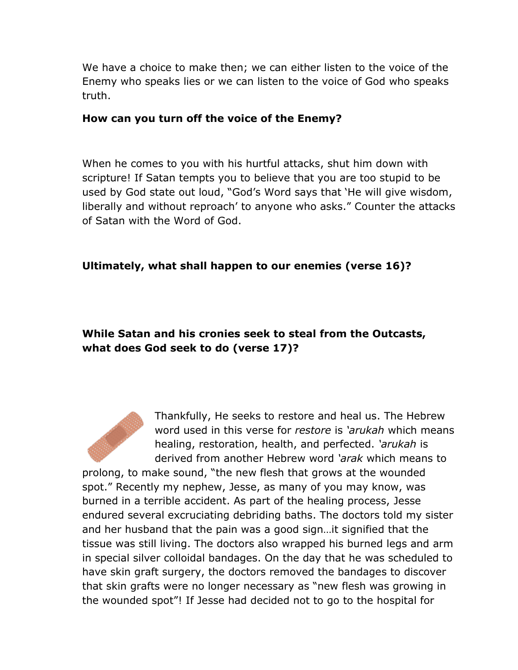We have a choice to make then; we can either listen to the voice of the Enemy who speaks lies or we can listen to the voice of God who speaks truth.

#### **How can you turn off the voice of the Enemy?**

When he comes to you with his hurtful attacks, shut him down with scripture! If Satan tempts you to believe that you are too stupid to be used by God state out loud, "God"s Word says that "He will give wisdom, liberally and without reproach' to anyone who asks." Counter the attacks of Satan with the Word of God.

#### **Ultimately, what shall happen to our enemies (verse 16)?**

## **While Satan and his cronies seek to steal from the Outcasts, what does God seek to do (verse 17)?**



prolong, to make sound, "the new flesh that grows at the wounded spot." Recently my nephew, Jesse, as many of you may know, was burned in a terrible accident. As part of the healing process, Jesse endured several excruciating debriding baths. The doctors told my sister and her husband that the pain was a good sign…it signified that the tissue was still living. The doctors also wrapped his burned legs and arm in special silver colloidal bandages. On the day that he was scheduled to have skin graft surgery, the doctors removed the bandages to discover that skin grafts were no longer necessary as "new flesh was growing in the wounded spot"! If Jesse had decided not to go to the hospital for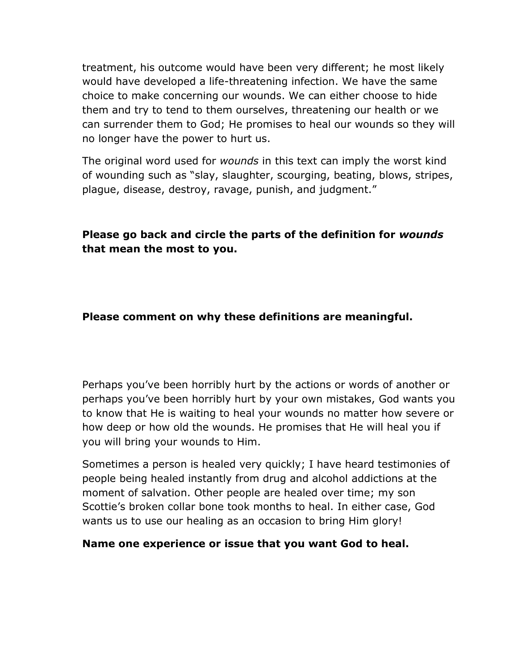treatment, his outcome would have been very different; he most likely would have developed a life-threatening infection. We have the same choice to make concerning our wounds. We can either choose to hide them and try to tend to them ourselves, threatening our health or we can surrender them to God; He promises to heal our wounds so they will no longer have the power to hurt us.

The original word used for *wounds* in this text can imply the worst kind of wounding such as "slay, slaughter, scourging, beating, blows, stripes, plague, disease, destroy, ravage, punish, and judgment."

**Please go back and circle the parts of the definition for** *wounds* **that mean the most to you.**

#### **Please comment on why these definitions are meaningful.**

Perhaps you"ve been horribly hurt by the actions or words of another or perhaps you"ve been horribly hurt by your own mistakes, God wants you to know that He is waiting to heal your wounds no matter how severe or how deep or how old the wounds. He promises that He will heal you if you will bring your wounds to Him.

Sometimes a person is healed very quickly; I have heard testimonies of people being healed instantly from drug and alcohol addictions at the moment of salvation. Other people are healed over time; my son Scottie's broken collar bone took months to heal. In either case, God wants us to use our healing as an occasion to bring Him glory!

#### **Name one experience or issue that you want God to heal.**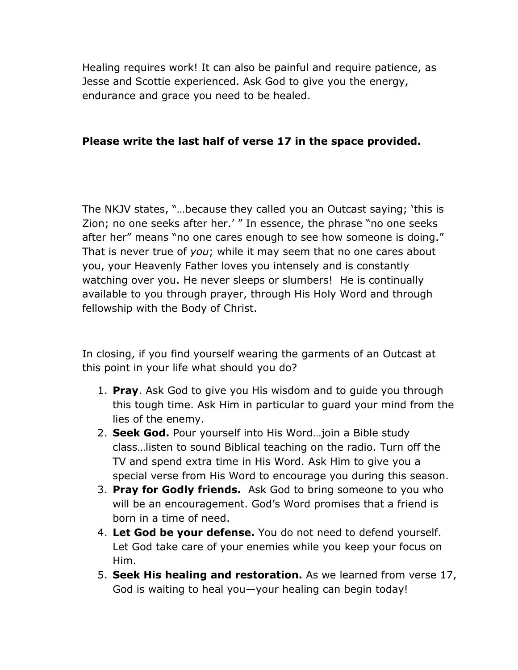Healing requires work! It can also be painful and require patience, as Jesse and Scottie experienced. Ask God to give you the energy, endurance and grace you need to be healed.

#### **Please write the last half of verse 17 in the space provided.**

The NKJV states, "…because they called you an Outcast saying; "this is Zion; no one seeks after her.' " In essence, the phrase "no one seeks after her" means "no one cares enough to see how someone is doing." That is never true of *you*; while it may seem that no one cares about you, your Heavenly Father loves you intensely and is constantly watching over you. He never sleeps or slumbers! He is continually available to you through prayer, through His Holy Word and through fellowship with the Body of Christ.

In closing, if you find yourself wearing the garments of an Outcast at this point in your life what should you do?

- 1. **Pray**. Ask God to give you His wisdom and to guide you through this tough time. Ask Him in particular to guard your mind from the lies of the enemy.
- 2. **Seek God.** Pour yourself into His Word…join a Bible study class…listen to sound Biblical teaching on the radio. Turn off the TV and spend extra time in His Word. Ask Him to give you a special verse from His Word to encourage you during this season.
- 3. **Pray for Godly friends.** Ask God to bring someone to you who will be an encouragement. God's Word promises that a friend is born in a time of need.
- 4. **Let God be your defense.** You do not need to defend yourself. Let God take care of your enemies while you keep your focus on Him.
- 5. **Seek His healing and restoration.** As we learned from verse 17, God is waiting to heal you—your healing can begin today!